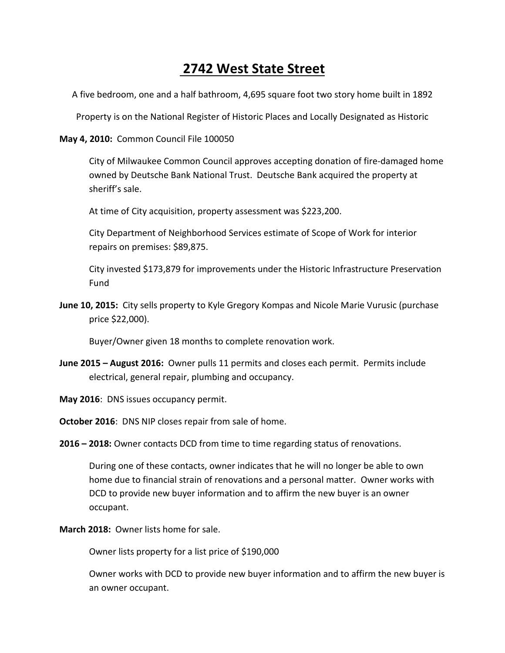## **2742 West State Street**

A five bedroom, one and a half bathroom, 4,695 square foot two story home built in 1892

Property is on the National Register of Historic Places and Locally Designated as Historic

**May 4, 2010:** Common Council File 100050

City of Milwaukee Common Council approves accepting donation of fire-damaged home owned by Deutsche Bank National Trust. Deutsche Bank acquired the property at sheriff's sale.

At time of City acquisition, property assessment was \$223,200.

City Department of Neighborhood Services estimate of Scope of Work for interior repairs on premises: \$89,875.

City invested \$173,879 for improvements under the Historic Infrastructure Preservation Fund

**June 10, 2015:** City sells property to Kyle Gregory Kompas and Nicole Marie Vurusic (purchase price \$22,000).

Buyer/Owner given 18 months to complete renovation work.

- **June 2015 August 2016:** Owner pulls 11 permits and closes each permit. Permits include electrical, general repair, plumbing and occupancy.
- **May 2016**: DNS issues occupancy permit.

**October 2016**: DNS NIP closes repair from sale of home.

**2016 – 2018:** Owner contacts DCD from time to time regarding status of renovations.

During one of these contacts, owner indicates that he will no longer be able to own home due to financial strain of renovations and a personal matter. Owner works with DCD to provide new buyer information and to affirm the new buyer is an owner occupant.

**March 2018:** Owner lists home for sale.

Owner lists property for a list price of \$190,000

Owner works with DCD to provide new buyer information and to affirm the new buyer is an owner occupant.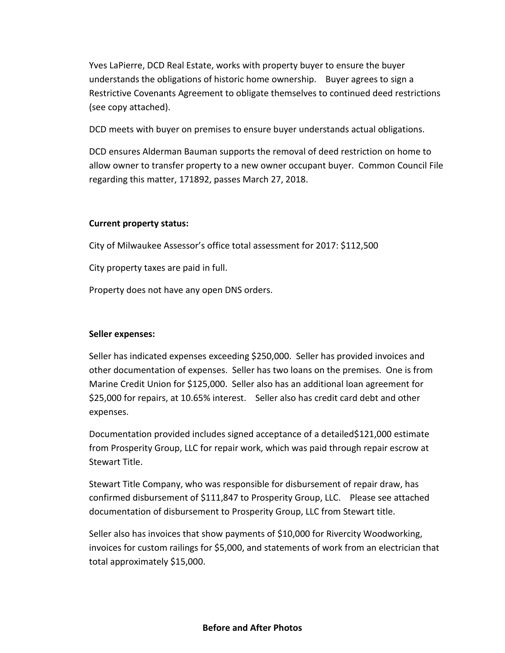Yves LaPierre, DCD Real Estate, works with property buyer to ensure the buyer understands the obligations of historic home ownership. Buyer agrees to sign a Restrictive Covenants Agreement to obligate themselves to continued deed restrictions (see copy attached).

DCD meets with buyer on premises to ensure buyer understands actual obligations.

DCD ensures Alderman Bauman supports the removal of deed restriction on home to allow owner to transfer property to a new owner occupant buyer. Common Council File regarding this matter, 171892, passes March 27, 2018.

### **Current property status:**

City of Milwaukee Assessor's office total assessment for 2017: \$112,500

City property taxes are paid in full.

Property does not have any open DNS orders.

### **Seller expenses:**

Seller has indicated expenses exceeding \$250,000. Seller has provided invoices and other documentation of expenses. Seller has two loans on the premises. One is from Marine Credit Union for \$125,000. Seller also has an additional loan agreement for \$25,000 for repairs, at 10.65% interest. Seller also has credit card debt and other expenses.

Documentation provided includes signed acceptance of a detailed\$121,000 estimate from Prosperity Group, LLC for repair work, which was paid through repair escrow at Stewart Title.

Stewart Title Company, who was responsible for disbursement of repair draw, has confirmed disbursement of \$111,847 to Prosperity Group, LLC. Please see attached documentation of disbursement to Prosperity Group, LLC from Stewart title.

Seller also has invoices that show payments of \$10,000 for Rivercity Woodworking, invoices for custom railings for \$5,000, and statements of work from an electrician that total approximately \$15,000.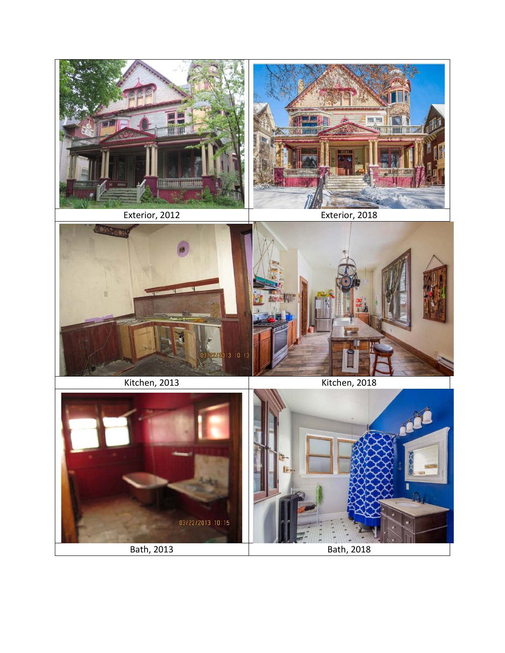



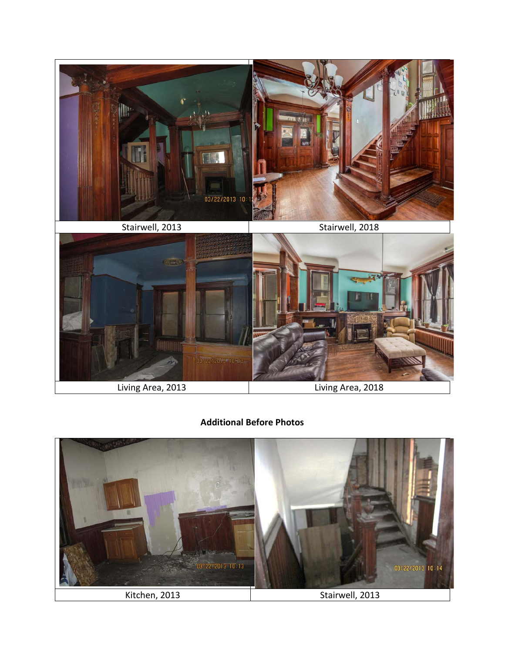

### **Additional Before Photos**

![](_page_3_Picture_2.jpeg)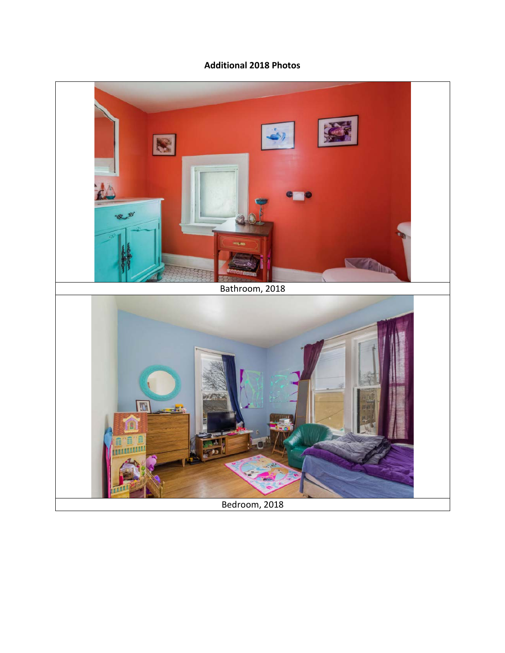### **Additional 2018 Photos**

![](_page_4_Picture_1.jpeg)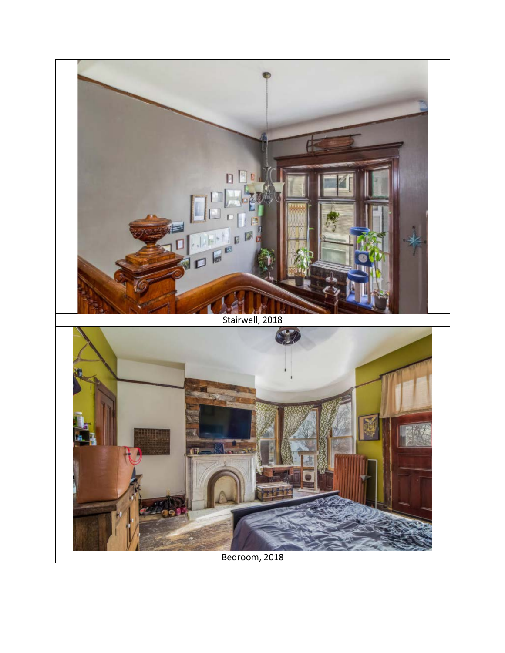![](_page_5_Picture_0.jpeg)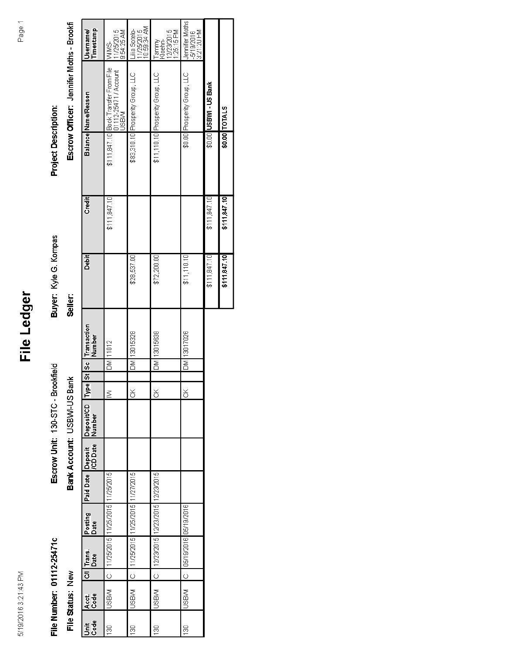## File Ledger

# File Number: 01112-25471c

File Status: New

Escrow Unit: 130-STC - Brookfield Bank Account: USBVVI-US Bank

Buyer: Kyle G. Kompas Seller:

Escrow Officer: Jennifer Moths - Brookfi **Project Description:** 

|              | Timestamp<br>Username/                                 | 1/25/2015<br>9:54:25 AM<br>MMS<br>M                                            | nk kc.83:1<br>Jia Sotelo-<br>(1/25/2015) | 12/23/2015<br>25:15 PM<br>Kloehn-<br>Tammy | Jennifer Moths<br>-5/19/2016<br>3:21:20 PM |                        |  |
|--------------|--------------------------------------------------------|--------------------------------------------------------------------------------|------------------------------------------|--------------------------------------------|--------------------------------------------|------------------------|--|
|              | Balance Name/Reason                                    | \$111,847.10 Book Transfer From File<br>  01112-25471 / Account<br><b>MBSI</b> | \$83,310.10 Prosperity Group, LLC        | \$11,110.10 Prosperity Group, LLC          | \$0.00 Prosperity Group, LLC               | \$0.00 USBWI - US Bank |  |
|              |                                                        |                                                                                |                                          |                                            |                                            |                        |  |
| Credit       |                                                        | \$11, 847.10                                                                   |                                          |                                            |                                            | \$111,847.10           |  |
| <b>Tebit</b> |                                                        |                                                                                | \$28,537.00                              | \$72,200.00                                | \$11,110,10]                               | \$11,847,10            |  |
|              | St Sc Transaction<br>Number                            | 11012                                                                          | 13015328                                 | 13015638                                   | 13017026                                   |                        |  |
|              |                                                        | ð                                                                              | ð                                        | δ                                          | ð                                          |                        |  |
|              |                                                        |                                                                                |                                          |                                            |                                            |                        |  |
|              | <b>Type</b>                                            | ξ                                                                              | š                                        | š                                          | š                                          |                        |  |
|              | Paid Date   Deposit   Deposit/CD<br>  CD Date   Number |                                                                                |                                          |                                            |                                            |                        |  |
|              |                                                        |                                                                                |                                          |                                            |                                            |                        |  |
|              |                                                        | 11/25/2015                                                                     | 11/27/2015                               | 12/23/2015                                 |                                            |                        |  |
|              | Posting<br>Date                                        | 11/25/2015   11/25/2015                                                        | 11/25/2015 11/25/2015                    | 12/23/2015 12/23/2015                      | C   05/19/2016   05/19/2016                |                        |  |
|              | Cil Trans.<br>Date                                     |                                                                                |                                          |                                            |                                            |                        |  |
|              |                                                        | $\circ$                                                                        | $\circ$                                  | $\overline{\circ}$                         |                                            |                        |  |
|              | Acct.<br>Code                                          | MBSN                                                                           | <b>NBSL</b>                              | <b>MBSL</b>                                | MBSL                                       |                        |  |
|              | t<br>58                                                | 8                                                                              | g                                        | 8                                          | 8                                          |                        |  |

\$0.00 TOTALS

\$111,847.10

\$11,847.10